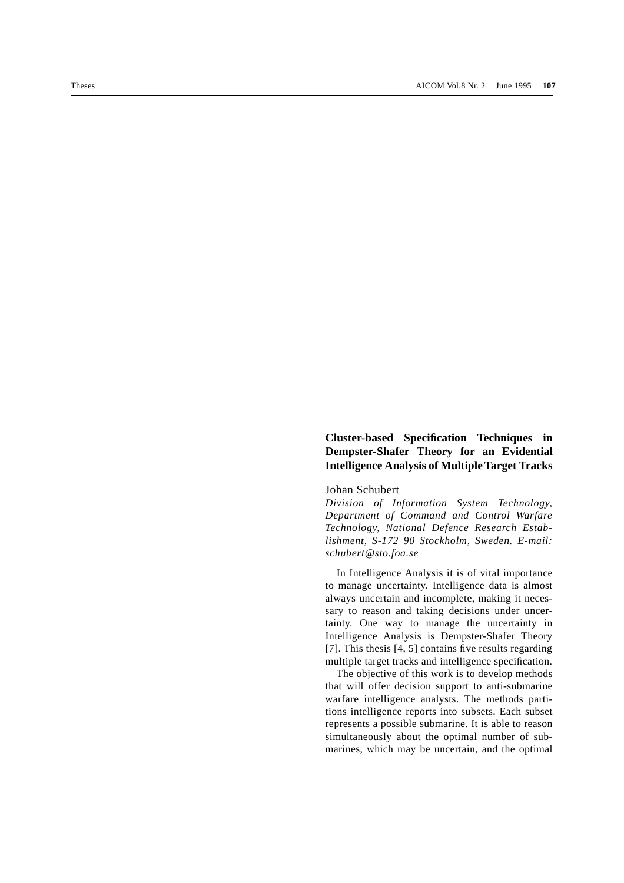## **Cluster-based Specification Techniques in Dempster-Shafer Theory for an Evidential Intelligence Analysis of Multiple Target Tracks**

## Johan Schubert

*Division of Information System Technology, Department of Command and Control Warfare Technology, National Defence Research Establishment, S-172 90 Stockholm, Sweden. E-mail: schubert@sto.foa.se*

In Intelligence Analysis it is of vital importance to manage uncertainty. Intelligence data is almost always uncertain and incomplete, making it necessary to reason and taking decisions under uncertainty. One way to manage the uncertainty in Intelligence Analysis is Dempster-Shafer Theory [7]. This thesis [4, 5] contains five results regarding multiple target tracks and intelligence specification.

The objective of this work is to develop methods that will offer decision support to anti-submarine warfare intelligence analysts. The methods partitions intelligence reports into subsets. Each subset represents a possible submarine. It is able to reason simultaneously about the optimal number of submarines, which may be uncertain, and the optimal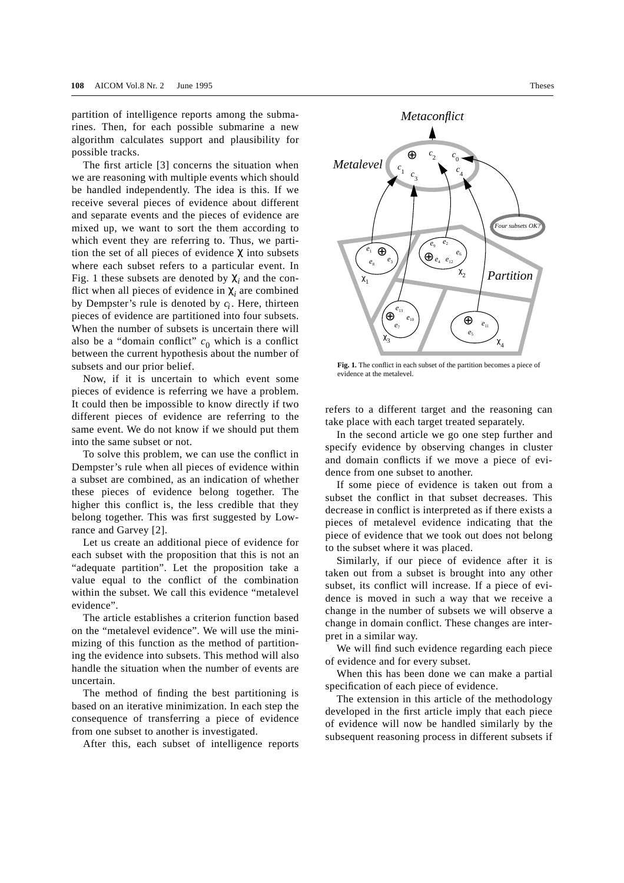partition of intelligence reports among the submarines. Then, for each possible submarine a new algorithm calculates support and plausibility for possible tracks.

The first article [3] concerns the situation when we are reasoning with multiple events which should be handled independently. The idea is this. If we receive several pieces of evidence about different and separate events and the pieces of evidence are mixed up, we want to sort the them according to which event they are referring to. Thus, we partition the set of all pieces of evidence  $\chi$  into subsets where each subset refers to a particular event. In Fig. 1 these subsets are denoted by  $\chi_i$  and the conflict when all pieces of evidence in  $\chi$ <sub>i</sub> are combined by Dempster's rule is denoted by  $c_i$ . Here, thirteen pieces of evidence are partitioned into four subsets. When the number of subsets is uncertain there will also be a "domain conflict"  $c_0$  which is a conflict between the current hypothesis about the number of subsets and our prior belief.

Now, if it is uncertain to which event some pieces of evidence is referring we have a problem. It could then be impossible to know directly if two different pieces of evidence are referring to the same event. We do not know if we should put them into the same subset or not.

To solve this problem, we can use the conflict in Dempster's rule when all pieces of evidence within a subset are combined, as an indication of whether these pieces of evidence belong together. The higher this conflict is, the less credible that they belong together. This was first suggested by Lowrance and Garvey [2].

Let us create an additional piece of evidence for each subset with the proposition that this is not an "adequate partition". Let the proposition take a value equal to the conflict of the combination within the subset. We call this evidence "metalevel evidence".

The article establishes a criterion function based on the "metalevel evidence". We will use the minimizing of this function as the method of partitioning the evidence into subsets. This method will also handle the situation when the number of events are uncertain.

The method of finding the best partitioning is based on an iterative minimization. In each step the consequence of transferring a piece of evidence from one subset to another is investigated.

After this, each subset of intelligence reports



**Fig. 1.** The conflict in each subset of the partition becomes a piece of evidence at the metalevel.

refers to a different target and the reasoning can take place with each target treated separately.

In the second article we go one step further and specify evidence by observing changes in cluster and domain conflicts if we move a piece of evidence from one subset to another.

If some piece of evidence is taken out from a subset the conflict in that subset decreases. This decrease in conflict is interpreted as if there exists a pieces of metalevel evidence indicating that the piece of evidence that we took out does not belong to the subset where it was placed.

Similarly, if our piece of evidence after it is taken out from a subset is brought into any other subset, its conflict will increase. If a piece of evidence is moved in such a way that we receive a change in the number of subsets we will observe a change in domain conflict. These changes are interpret in a similar way.

We will find such evidence regarding each piece of evidence and for every subset.

When this has been done we can make a partial specification of each piece of evidence.

The extension in this article of the methodology developed in the first article imply that each piece of evidence will now be handled similarly by the subsequent reasoning process in different subsets if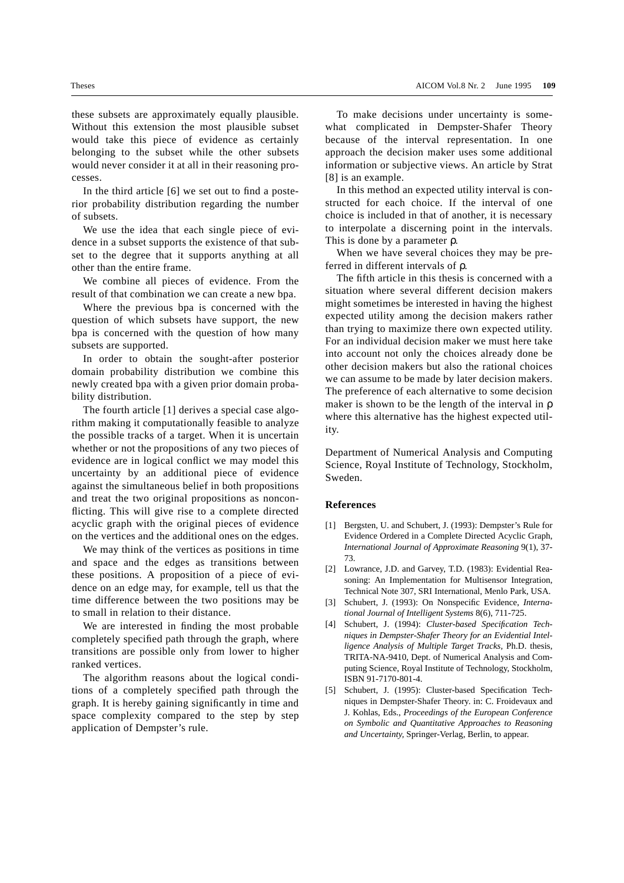these subsets are approximately equally plausible. Without this extension the most plausible subset would take this piece of evidence as certainly belonging to the subset while the other subsets would never consider it at all in their reasoning processes.

In the third article [6] we set out to find a posterior probability distribution regarding the number of subsets.

We use the idea that each single piece of evidence in a subset supports the existence of that subset to the degree that it supports anything at all other than the entire frame.

We combine all pieces of evidence. From the result of that combination we can create a new bpa.

Where the previous bpa is concerned with the question of which subsets have support, the new bpa is concerned with the question of how many subsets are supported.

In order to obtain the sought-after posterior domain probability distribution we combine this newly created bpa with a given prior domain probability distribution.

The fourth article [1] derives a special case algorithm making it computationally feasible to analyze the possible tracks of a target. When it is uncertain whether or not the propositions of any two pieces of evidence are in logical conflict we may model this uncertainty by an additional piece of evidence against the simultaneous belief in both propositions and treat the two original propositions as nonconflicting. This will give rise to a complete directed acyclic graph with the original pieces of evidence on the vertices and the additional ones on the edges.

We may think of the vertices as positions in time and space and the edges as transitions between these positions. A proposition of a piece of evidence on an edge may, for example, tell us that the time difference between the two positions may be to small in relation to their distance.

We are interested in finding the most probable completely specified path through the graph, where transitions are possible only from lower to higher ranked vertices.

The algorithm reasons about the logical conditions of a completely specified path through the graph. It is hereby gaining significantly in time and space complexity compared to the step by step application of Dempster's rule.

To make decisions under uncertainty is somewhat complicated in Dempster-Shafer Theory because of the interval representation. In one approach the decision maker uses some additional information or subjective views. An article by Strat [8] is an example.

In this method an expected utility interval is constructed for each choice. If the interval of one choice is included in that of another, it is necessary to interpolate a discerning point in the intervals. This is done by a parameter ρ.

When we have several choices they may be preferred in different intervals of ρ.

The fifth article in this thesis is concerned with a situation where several different decision makers might sometimes be interested in having the highest expected utility among the decision makers rather than trying to maximize there own expected utility. For an individual decision maker we must here take into account not only the choices already done be other decision makers but also the rational choices we can assume to be made by later decision makers. The preference of each alternative to some decision maker is shown to be the length of the interval in ρ where this alternative has the highest expected utility.

Department of Numerical Analysis and Computing Science, Royal Institute of Technology, Stockholm, Sweden.

## **References**

- [1] Bergsten, U. and Schubert, J. (1993): Dempster's Rule for Evidence Ordered in a Complete Directed Acyclic Graph, *International Journal of Approximate Reasoning* 9(1), 37- 73.
- [2] Lowrance, J.D. and Garvey, T.D. (1983): Evidential Reasoning: An Implementation for Multisensor Integration, Technical Note 307, SRI International, Menlo Park, USA.
- [3] Schubert, J. (1993): On Nonspecific Evidence, *International Journal of Intelligent Systems* 8(6), 711-725.
- [4] Schubert, J. (1994): *Cluster-based Specification Techniques in Dempster-Shafer Theory for an Evidential Intelligence Analysis of Multiple Target Tracks,* Ph.D. thesis, TRITA-NA-9410, Dept. of Numerical Analysis and Computing Science, Royal Institute of Technology, Stockholm, ISBN 91-7170-801-4.
- [5] Schubert, J. (1995): Cluster-based Specification Techniques in Dempster-Shafer Theory. in: C. Froidevaux and J. Kohlas, Eds., *Proceedings of the European Conference on Symbolic and Quantitative Approaches to Reasoning and Uncertainty,* Springer-Verlag, Berlin, to appear.